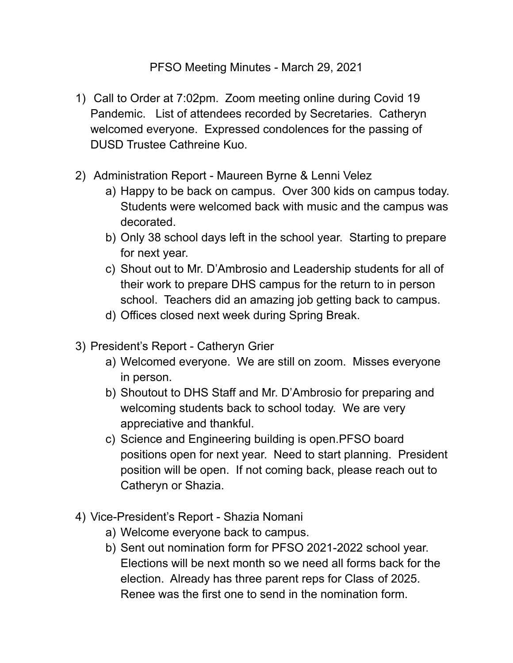## PFSO Meeting Minutes - March 29, 2021

- 1) Call to Order at 7:02pm. Zoom meeting online during Covid 19 Pandemic. List of attendees recorded by Secretaries. Catheryn welcomed everyone. Expressed condolences for the passing of DUSD Trustee Cathreine Kuo.
- 2) Administration Report Maureen Byrne & Lenni Velez
	- a) Happy to be back on campus. Over 300 kids on campus today. Students were welcomed back with music and the campus was decorated.
	- b) Only 38 school days left in the school year. Starting to prepare for next year.
	- c) Shout out to Mr. D'Ambrosio and Leadership students for all of their work to prepare DHS campus for the return to in person school. Teachers did an amazing job getting back to campus.
	- d) Offices closed next week during Spring Break.
- 3) President's Report Catheryn Grier
	- a) Welcomed everyone. We are still on zoom. Misses everyone in person.
	- b) Shoutout to DHS Staff and Mr. D'Ambrosio for preparing and welcoming students back to school today. We are very appreciative and thankful.
	- c) Science and Engineering building is open.PFSO board positions open for next year. Need to start planning. President position will be open. If not coming back, please reach out to Catheryn or Shazia.
- 4) Vice-President's Report Shazia Nomani
	- a) Welcome everyone back to campus.
	- b) Sent out nomination form for PFSO 2021-2022 school year. Elections will be next month so we need all forms back for the election. Already has three parent reps for Class of 2025. Renee was the first one to send in the nomination form.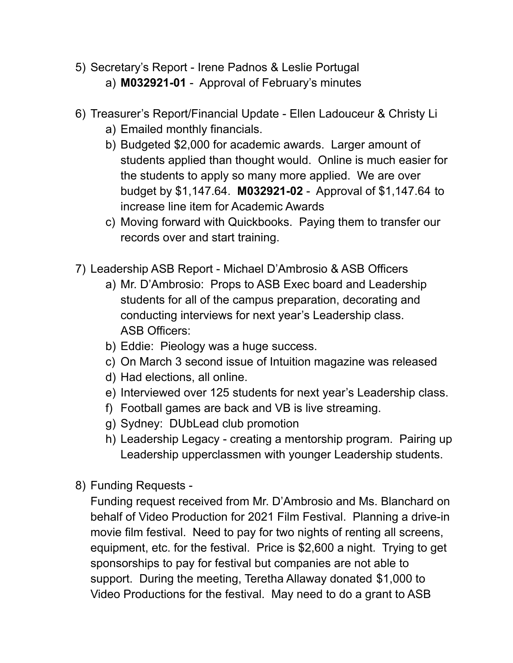- 5) Secretary's Report Irene Padnos & Leslie Portugal
	- a) **M032921-01** Approval of February's minutes
- 6) Treasurer's Report/Financial Update Ellen Ladouceur & Christy Li
	- a) Emailed monthly financials.
	- b) Budgeted \$2,000 for academic awards. Larger amount of students applied than thought would. Online is much easier for the students to apply so many more applied. We are over budget by \$1,147.64. **M032921-02** - Approval of \$1,147.64 to increase line item for Academic Awards
	- c) Moving forward with Quickbooks. Paying them to transfer our records over and start training.
- 7) Leadership ASB Report Michael D'Ambrosio & ASB Officers
	- a) Mr. D'Ambrosio: Props to ASB Exec board and Leadership students for all of the campus preparation, decorating and conducting interviews for next year's Leadership class. ASB Officers:
	- b) Eddie: Pieology was a huge success.
	- c) On March 3 second issue of Intuition magazine was released
	- d) Had elections, all online.
	- e) Interviewed over 125 students for next year's Leadership class.
	- f) Football games are back and VB is live streaming.
	- g) Sydney: DUbLead club promotion
	- h) Leadership Legacy creating a mentorship program. Pairing up Leadership upperclassmen with younger Leadership students.
- 8) Funding Requests -

Funding request received from Mr. D'Ambrosio and Ms. Blanchard on behalf of Video Production for 2021 Film Festival. Planning a drive-in movie film festival. Need to pay for two nights of renting all screens, equipment, etc. for the festival. Price is \$2,600 a night. Trying to get sponsorships to pay for festival but companies are not able to support. During the meeting, Teretha Allaway donated \$1,000 to Video Productions for the festival. May need to do a grant to ASB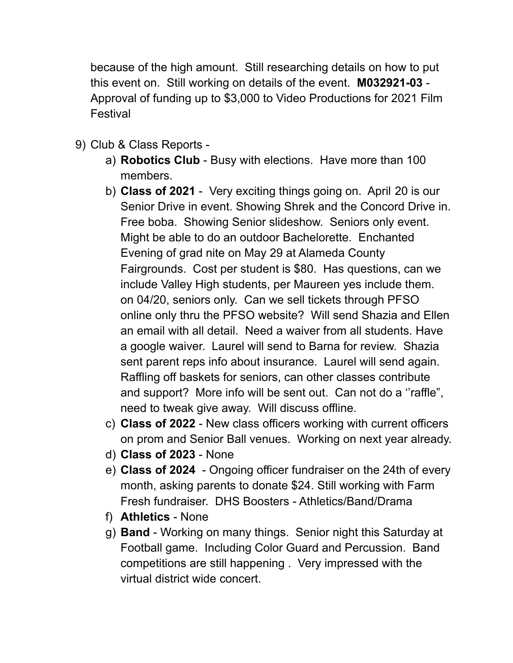because of the high amount. Still researching details on how to put this event on. Still working on details of the event. **M032921-03** - Approval of funding up to \$3,000 to Video Productions for 2021 Film Festival

- 9) Club & Class Reports
	- a) **Robotics Club** Busy with elections. Have more than 100 members.
	- b) **Class of 2021** Very exciting things going on. April 20 is our Senior Drive in event. Showing Shrek and the Concord Drive in. Free boba. Showing Senior slideshow. Seniors only event. Might be able to do an outdoor Bachelorette. Enchanted Evening of grad nite on May 29 at Alameda County Fairgrounds. Cost per student is \$80. Has questions, can we include Valley High students, per Maureen yes include them. on 04/20, seniors only. Can we sell tickets through PFSO online only thru the PFSO website? Will send Shazia and Ellen an email with all detail. Need a waiver from all students. Have a google waiver. Laurel will send to Barna for review. Shazia sent parent reps info about insurance. Laurel will send again. Raffling off baskets for seniors, can other classes contribute and support? More info will be sent out. Can not do a ''raffle", need to tweak give away. Will discuss offline.
	- c) **Class of 2022** New class officers working with current officers on prom and Senior Ball venues. Working on next year already.
	- d) **Class of 2023** None
	- e) **Class of 2024** Ongoing officer fundraiser on the 24th of every month, asking parents to donate \$24. Still working with Farm Fresh fundraiser. DHS Boosters - Athletics/Band/Drama
	- f) **Athletics** None
	- g) **Band** Working on many things. Senior night this Saturday at Football game. Including Color Guard and Percussion. Band competitions are still happening . Very impressed with the virtual district wide concert.